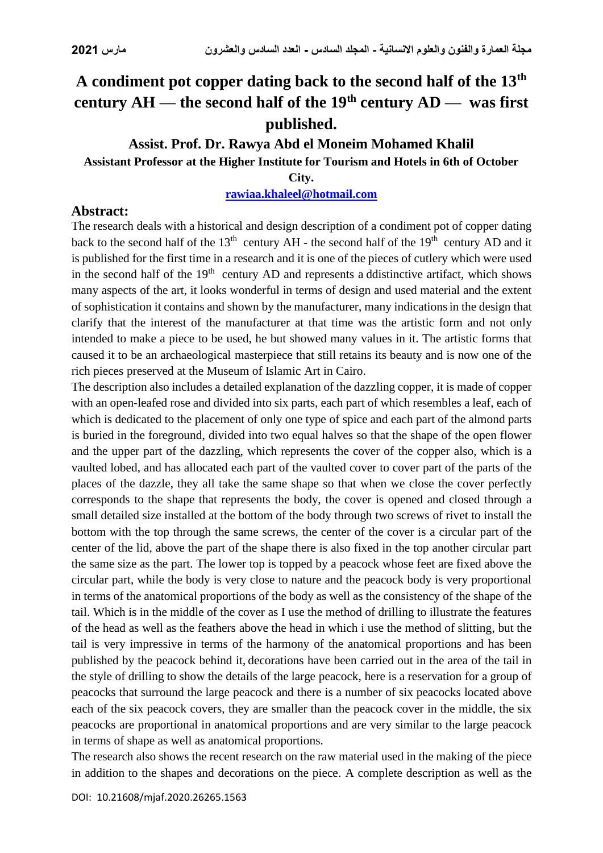# **A condiment pot copper dating back to the second half of the 13th century AH — the second half of the 19th century AD — was first published.**

# **Assist. Prof. Dr. Rawya Abd el Moneim Mohamed Khalil Assistant Professor at the Higher Institute for Tourism and Hotels in 6th of October**

**City.**

**[rawiaa.khaleel@hotmail.com](mailto:rawiaa.khaleel@hotmail.com)**

## **Abstract:**

The research deals with a historical and design description of a condiment pot of copper dating back to the second half of the  $13<sup>th</sup>$  century AH - the second half of the  $19<sup>th</sup>$  century AD and it is published for the first time in a research and it is one of the pieces of cutlery which were used in the second half of the  $19<sup>th</sup>$  century AD and represents a ddistinctive artifact, which shows many aspects of the art, it looks wonderful in terms of design and used material and the extent of sophistication it contains and shown by the manufacturer, many indicationsin the design that clarify that the interest of the manufacturer at that time was the artistic form and not only intended to make a piece to be used, he but showed many values in it. The artistic forms that caused it to be an archaeological masterpiece that still retains its beauty and is now one of the rich pieces preserved at the Museum of Islamic Art in Cairo.

The description also includes a detailed explanation of the dazzling copper, it is made of copper with an open-leafed rose and divided into six parts, each part of which resembles a leaf, each of which is dedicated to the placement of only one type of spice and each part of the almond parts is buried in the foreground, divided into two equal halves so that the shape of the open flower and the upper part of the dazzling, which represents the cover of the copper also, which is a vaulted lobed, and has allocated each part of the vaulted cover to cover part of the parts of the places of the dazzle, they all take the same shape so that when we close the cover perfectly corresponds to the shape that represents the body, the cover is opened and closed through a small detailed size installed at the bottom of the body through two screws of rivet to install the bottom with the top through the same screws, the center of the cover is a circular part of the center of the lid, above the part of the shape there is also fixed in the top another circular part the same size as the part. The lower top is topped by a peacock whose feet are fixed above the circular part, while the body is very close to nature and the peacock body is very proportional in terms of the anatomical proportions of the body as well as the consistency of the shape of the tail. Which is in the middle of the cover as I use the method of drilling to illustrate the features of the head as well as the feathers above the head in which i use the method of slitting, but the tail is very impressive in terms of the harmony of the anatomical proportions and has been published by the peacock behind it, decorations have been carried out in the area of the tail in the style of drilling to show the details of the large peacock, here is a reservation for a group of peacocks that surround the large peacock and there is a number of six peacocks located above each of the six peacock covers, they are smaller than the peacock cover in the middle, the six peacocks are proportional in anatomical proportions and are very similar to the large peacock in terms of shape as well as anatomical proportions.

The research also shows the recent research on the raw material used in the making of the piece in addition to the shapes and decorations on the piece. A complete description as well as the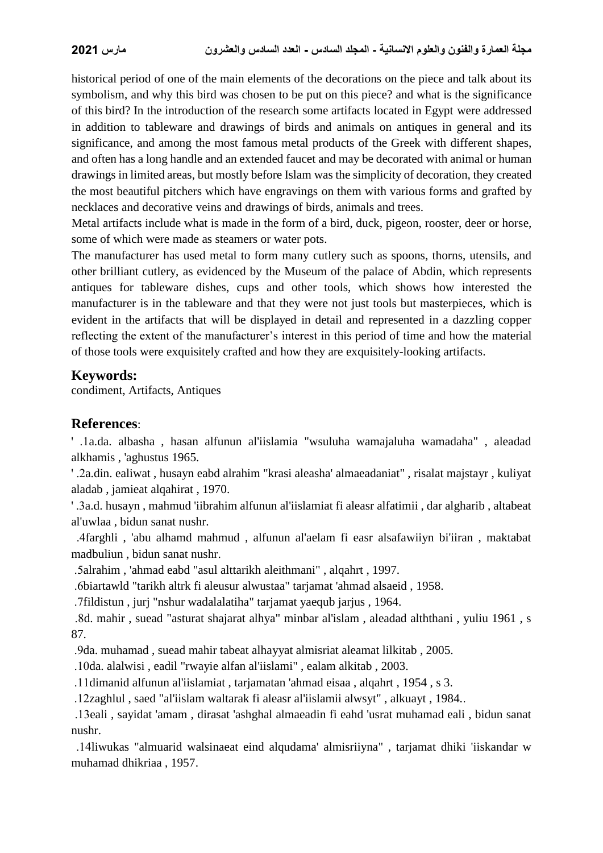historical period of one of the main elements of the decorations on the piece and talk about its symbolism, and why this bird was chosen to be put on this piece? and what is the significance of this bird? In the introduction of the research some artifacts located in Egypt were addressed in addition to tableware and drawings of birds and animals on antiques in general and its significance, and among the most famous metal products of the Greek with different shapes, and often has a long handle and an extended faucet and may be decorated with animal or human drawings in limited areas, but mostly before Islam was the simplicity of decoration, they created the most beautiful pitchers which have engravings on them with various forms and grafted by necklaces and decorative veins and drawings of birds, animals and trees.

Metal artifacts include what is made in the form of a bird, duck, pigeon, rooster, deer or horse, some of which were made as steamers or water pots.

The manufacturer has used metal to form many cutlery such as spoons, thorns, utensils, and other brilliant cutlery, as evidenced by the Museum of the palace of Abdin, which represents antiques for tableware dishes, cups and other tools, which shows how interested the manufacturer is in the tableware and that they were not just tools but masterpieces, which is evident in the artifacts that will be displayed in detail and represented in a dazzling copper reflecting the extent of the manufacturer's interest in this period of time and how the material of those tools were exquisitely crafted and how they are exquisitely-looking artifacts.

### **Keywords:**

condiment, Artifacts, Antiques

### **References**:

' .1a.da. albasha , hasan alfunun al'iislamia "wsuluha wamajaluha wamadaha" , aleadad alkhamis , 'aghustus 1965.

' .2a.din. ealiwat , husayn eabd alrahim "krasi aleasha' almaeadaniat" , risalat majstayr , kuliyat aladab , jamieat alqahirat , 1970.

' .3a.d. husayn , mahmud 'iibrahim alfunun al'iislamiat fi aleasr alfatimii , dar algharib , altabeat al'uwlaa , bidun sanat nushr.

 .4farghli , 'abu alhamd mahmud , alfunun al'aelam fi easr alsafawiiyn bi'iiran , maktabat madbuliun , bidun sanat nushr.

.5alrahim , 'ahmad eabd "asul alttarikh aleithmani" , alqahrt , 1997.

.6biartawld "tarikh altrk fi aleusur alwustaa" tarjamat 'ahmad alsaeid , 1958.

.7fildistun , jurj "nshur wadalalatiha" tarjamat yaequb jarjus , 1964.

 .8d. mahir , suead "asturat shajarat alhya" minbar al'islam , aleadad alththani , yuliu 1961 , s 87.

.9da. muhamad , suead mahir tabeat alhayyat almisriat aleamat lilkitab , 2005.

.10da. alalwisi , eadil "rwayie alfan al'iislami" , ealam alkitab , 2003.

.11dimanid alfunun al'iislamiat , tarjamatan 'ahmad eisaa , alqahrt , 1954 , s 3.

.12zaghlul , saed "al'iislam waltarak fi aleasr al'iislamii alwsyt" , alkuayt , 1984..

 .13eali , sayidat 'amam , dirasat 'ashghal almaeadin fi eahd 'usrat muhamad eali , bidun sanat nushr.

 .14liwukas "almuarid walsinaeat eind alqudama' almisriiyna" , tarjamat dhiki 'iiskandar w muhamad dhikriaa , 1957.